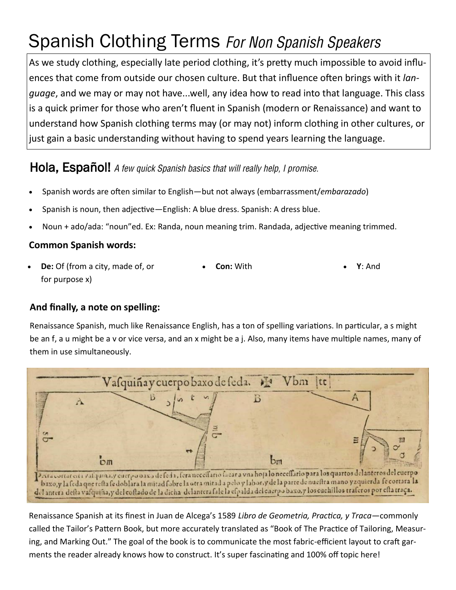# Spanish Clothing Terms For Non Spanish Speakers

As we study clothing, especially late period clothing, it's pretty much impossible to avoid influences that come from outside our chosen culture. But that influence often brings with it *language*, and we may or may not have...well, any idea how to read into that language. This class is a quick primer for those who aren't fluent in Spanish (modern or Renaissance) and want to understand how Spanish clothing terms may (or may not) inform clothing in other cultures, or just gain a basic understanding without having to spend years learning the language.

### Hola, Español! A few quick Spanish basics that will really help. I promise.

- Spanish words are often similar to English—but not always (embarrassment/*embarazado*)
- Spanish is noun, then adjective—English: A blue dress. Spanish: A dress blue.
- Noun + ado/ada: "noun"ed. Ex: Randa, noun meaning trim. Randada, adjective meaning trimmed.

#### **Common Spanish words:**

• **De:** Of (from a city, made of, or for purpose x) • **Con:** With • **Y**: And

#### **And finally, a note on spelling:**

Renaissance Spanish, much like Renaissance English, has a ton of spelling variations. In particular, a s might be an f, a u might be a v or vice versa, and an x might be a j. Also, many items have multiple names, many of them in use simultaneously.



Renaissance Spanish at its finest in Juan de Alcega's 1589 *Libro de Geometria, Practica, y Traca—*commonly called the Tailor's Pattern Book, but more accurately translated as "Book of The Practice of Tailoring, Measuring, and Marking Out." The goal of the book is to communicate the most fabric-efficient layout to craft garments the reader already knows how to construct. It's super fascinating and 100% off topic here!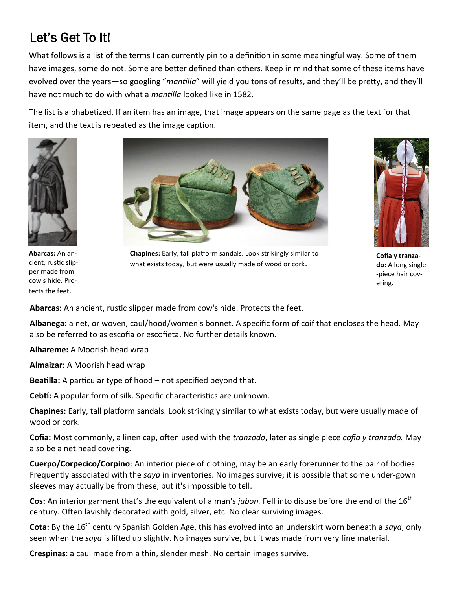## Let's Get To It!

What follows is a list of the terms I can currently pin to a definition in some meaningful way. Some of them have images, some do not. Some are better defined than others. Keep in mind that some of these items have evolved over the years—so googling "*mantilla*" will yield you tons of results, and they'll be pretty, and they'll have not much to do with what a *mantilla* looked like in 1582.

The list is alphabetized. If an item has an image, that image appears on the same page as the text for that item, and the text is repeated as the image caption.



**Abarcas:** An ancient, rustic slipper made from cow's hide. Protects the feet.



**Chapines:** Early, tall platform sandals. Look strikingly similar to what exists today, but were usually made of wood or cork.



**Cofia y tranzado:** A long single -piece hair covering.

**Abarcas:** An ancient, rustic slipper made from cow's hide. Protects the feet.

**Albanega:** a net, or woven, caul/hood/women's bonnet. A specific form of coif that encloses the head. May also be referred to as escofia or escofieta. No further details known.

**Alhareme:** A Moorish head wrap

**Almaizar:** A Moorish head wrap

**Beatilla:** A particular type of hood – not specified beyond that.

**Cebtí:** A popular form of silk. Specific characteristics are unknown.

**Chapines:** Early, tall platform sandals. Look strikingly similar to what exists today, but were usually made of wood or cork.

**Cofia:** Most commonly, a linen cap, often used with the *tranzado*, later as single piece *cofia y tranzado.* May also be a net head covering.

**Cuerpo/Corpecico/Corpino**: An interior piece of clothing, may be an early forerunner to the pair of bodies. Frequently associated with the *saya* in inventories. No images survive; it is possible that some under-gown sleeves may actually be from these, but it's impossible to tell.

Cos: An interior garment that's the equivalent of a man's *jubon*. Fell into disuse before the end of the 16<sup>th</sup> century. Often lavishly decorated with gold, silver, etc. No clear surviving images.

**Cota:** By the 16<sup>th</sup> century Spanish Golden Age, this has evolved into an underskirt worn beneath a *saya*, only seen when the *saya* is lifted up slightly. No images survive, but it was made from very fine material.

**Crespinas**: a caul made from a thin, slender mesh. No certain images survive.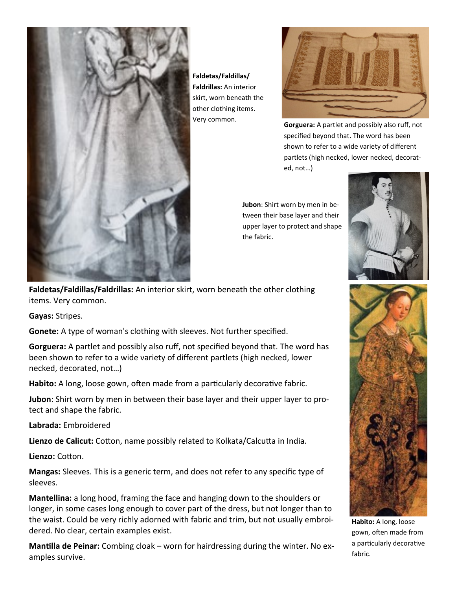

**Faldetas/Faldillas/ Faldrillas:** An interior skirt, worn beneath the other clothing items. Very common.



**Gorguera:** A partlet and possibly also ruff, not specified beyond that. The word has been shown to refer to a wide variety of different partlets (high necked, lower necked, decorated, not…)

**Jubon**: Shirt worn by men in between their base layer and their upper layer to protect and shape the fabric.



**Faldetas/Faldillas/Faldrillas:** An interior skirt, worn beneath the other clothing items. Very common.

**Gayas:** Stripes.

**Gonete:** A type of woman's clothing with sleeves. Not further specified.

**Gorguera:** A partlet and possibly also ruff, not specified beyond that. The word has been shown to refer to a wide variety of different partlets (high necked, lower necked, decorated, not…)

**Habito:** A long, loose gown, often made from a particularly decorative fabric.

**Jubon**: Shirt worn by men in between their base layer and their upper layer to protect and shape the fabric.

**Labrada:** Embroidered

**Lienzo de Calicut:** Cotton, name possibly related to Kolkata/Calcutta in India.

**Lienzo:** Cotton.

**Mangas:** Sleeves. This is a generic term, and does not refer to any specific type of sleeves.

**Mantellina:** a long hood, framing the face and hanging down to the shoulders or longer, in some cases long enough to cover part of the dress, but not longer than to the waist. Could be very richly adorned with fabric and trim, but not usually embroidered. No clear, certain examples exist.

**Mantilla de Peinar:** Combing cloak – worn for hairdressing during the winter. No examples survive.



**Habito:** A long, loose gown, often made from a particularly decorative fabric.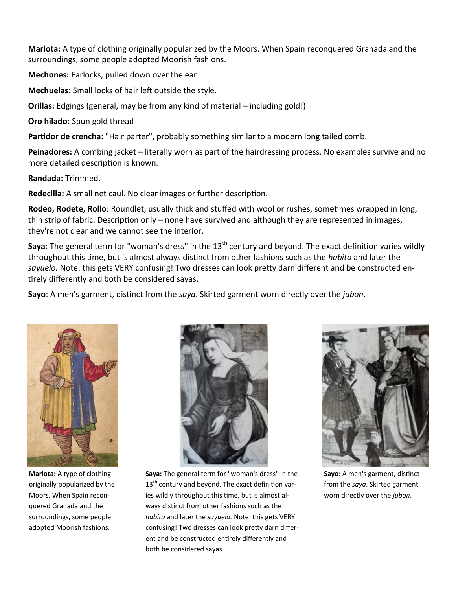**Marlota:** A type of clothing originally popularized by the Moors. When Spain reconquered Granada and the surroundings, some people adopted Moorish fashions.

**Mechones:** Earlocks, pulled down over the ear

**Mechuelas:** Small locks of hair left outside the style.

**Orillas:** Edgings (general, may be from any kind of material – including gold!)

**Oro hilado:** Spun gold thread

Partidor de crencha: "Hair parter", probably something similar to a modern long tailed comb.

**Peinadores:** A combing jacket – literally worn as part of the hairdressing process. No examples survive and no more detailed description is known.

**Randada:** Trimmed.

**Redecilla:** A small net caul. No clear images or further description.

**Rodeo, Rodete, Rollo**: Roundlet, usually thick and stuffed with wool or rushes, sometimes wrapped in long, thin strip of fabric. Description only – none have survived and although they are represented in images, they're not clear and we cannot see the interior.

**Saya:** The general term for "woman's dress" in the 13<sup>th</sup> century and beyond. The exact definition varies wildly throughout this time, but is almost always distinct from other fashions such as the *habito* and later the *sayuelo.* Note: this gets VERY confusing! Two dresses can look pretty darn different and be constructed entirely differently and both be considered sayas.

**Sayo**: A men's garment, distinct from the *saya*. Skirted garment worn directly over the *jubon*.



**Marlota:** A type of clothing originally popularized by the Moors. When Spain reconquered Granada and the surroundings, some people adopted Moorish fashions.



**Saya:** The general term for "woman's dress" in the  $13<sup>th</sup>$  century and beyond. The exact definition varies wildly throughout this time, but is almost always distinct from other fashions such as the *habito* and later the *sayuelo.* Note: this gets VERY confusing! Two dresses can look pretty darn different and be constructed entirely differently and both be considered sayas.



**Sayo**: A men's garment, distinct from the *saya*. Skirted garment worn directly over the *jubon*.